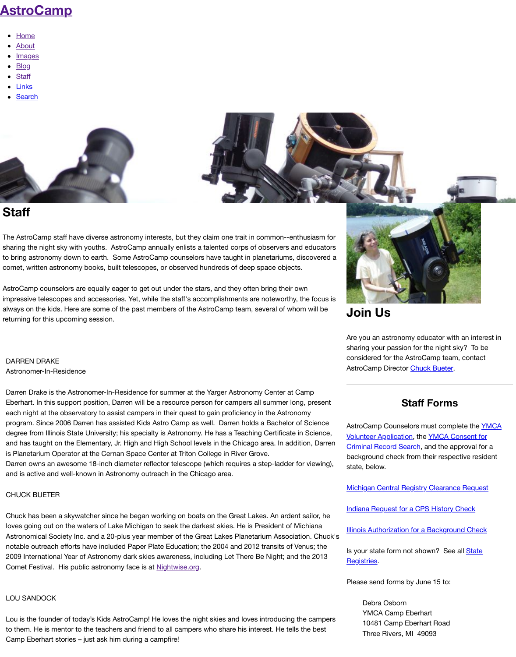[The AstroCamp sta](http://www.astrocamp.us/)ff have diverse astronomy interests, but they claim one trait in common--enthusiasm for sharing the night sky with youths. AstroCamp annually enlists a talented corps of observers and educators to bring astronomy down to earth. Some AstroCamp counselors have taught in planetariums, discovered co[met, wri](http://www.astrocamp.us/)tten astronomy books, built telescopes, or observed hundreds of deep space objects.

Astr[oCamp](http://www.astrocamp.us/index.php/2003-2011/) counselors are equally eager to get out under the stars, and they often bring their own imp[ressiv](http://www.astrocamp.us/index.php/blog/)e telescopes and accessories. Yet, while the staff's accomplishments are noteworthy, the focus alw[ays on](http://www.astrocamp.us/index.php/staff/) the kids. Here are some of the past members of the AstroCamp team, several of whom will be retu[rning f](http://www.astrocamp.us/index.php/links/)or this upcoming session.

# DARREN DRAKE Astronomer-In-Residence

Darren Drake is the Astronomer-In-Residence for summer at the Yarger Astronomy Center at Camp Eberhart. In this support position, Darren will be a resource person for campers all summer long, present each night at the observatory to assist campers in their quest to gain proficiency in the Astronomy program. Since 2006 Darren has assisted Kids Astro Camp as well. Darren holds a Bachelor of Science degree from Illinois State University; his specialty is Astronomy. He has a Teaching Certificate in Science, and has taught on the Elementary, Jr. High and High School levels in the Chicago area. In addition, Darre is Planetarium Operator at the Cernan Space Center at Triton College in River Grove. Darren owns an awesome 18-inch diameter reflector telescope (which requires a step-ladder for viewing and is active and well-known in Astronomy outreach in the Chicago area.

# CHUCK BUETER

Chuck has been a skywatcher since he began working on boats on the Great Lakes. An ardent sailor, he loves going out on the waters of Lake Michigan to seek the darkest skies. He is President of Michiana Astronomical Society Inc. and a 20-plus year member of the Great Lakes Planetarium Association. Chuo notable outreach efforts have included Paper Plate Education; the 2004 and 2012 transits of Venus; the 2009 International Year of Astronomy dark skies awareness, including Let There Be Night; and the 2013 Comet Festival. His public astronomy face is at **Nightwise.org**.

# LOU SANDOCK

Lou is the founder of today's Kids AstroCamp! He loves the night skies and loves introducing the campe to them. He is mentor to the teachers and friend to all campers who share his interest. He tells the best Camp Eberhart stories – just ask him during a campfire!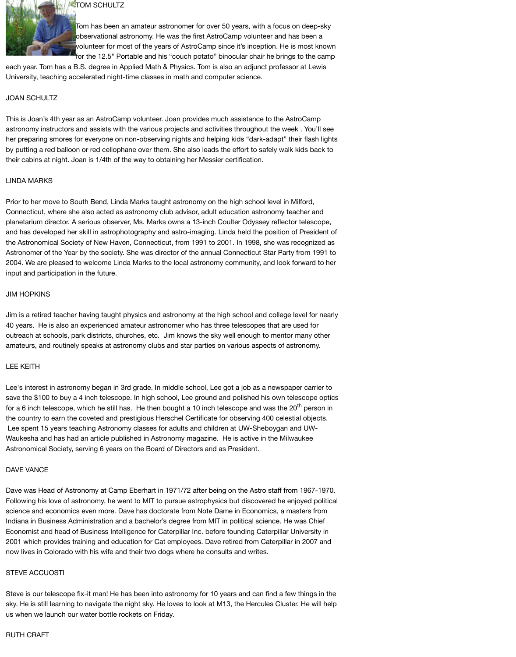# **TOM SCHULTZ**

Tom has been an amateur astronomer for over 50 years, with a focus on deep-sky observational astronomy. He was the first AstroCamp volunteer and has been a volunteer for most of the years of AstroCamp since it's inception. He is most known for the 12.5" Portable and his "couch potato" binocular chair he brings to the camp

each year. Tom has a B.S. degree in Applied Math & Physics. Tom is also an adjunct professor at Lewis University, teaching accelerated night-time classes in math and computer science.

## JOAN SCHULTZ

This is Joan's 4th year as an AstroCamp volunteer. Joan provides much assistance to the AstroCamp astronomy instructors and assists with the various projects and activities throughout the week . You'll see her preparing smores for everyone on non-observing nights and helping kids "dark-adapt" their flash lights by putting a red balloon or red cellophane over them. She also leads the effort to safely walk kids back to their cabins at night. Joan is 1/4th of the way to obtaining her Messier certification.

### LINDA MARKS

Prior to her move to South Bend, Linda Marks taught astronomy on the high school level in Milford, Connecticut, where she also acted as astronomy club advisor, adult education astronomy teacher and planetarium director. A serious observer, Ms. Marks owns a 13-inch Coulter Odyssey reflector telescope, and has developed her skill in astrophotography and astro-imaging. Linda held the position of President of the Astronomical Society of New Haven, Connecticut, from 1991 to 2001. In 1998, she was recognized as Astronomer of the Year by the society. She was director of the annual Connecticut Star Party from 1991 to 2004. We are pleased to welcome Linda Marks to the local astronomy community, and look forward to her input and participation in the future.

#### JIM HOPKINS

Jim is a retired teacher having taught physics and astronomy at the high school and college level for nearly 40 years. He is also an experienced amateur astronomer who has three telescopes that are used for outreach at schools, park districts, churches, etc. Jim knows the sky well enough to mentor many other amateurs, and routinely speaks at astronomy clubs and star parties on various aspects of astronomy.

## LEE KEITH

Lee's interest in astronomy began in 3rd grade. In middle school, Lee got a job as a newspaper carrier to save the \$100 to buy a 4 inch telescope. In high school, Lee ground and polished his own telescope optics for a 6 inch telescope, which he still has. He then bought a 10 inch telescope and was the 20<sup>th</sup> person in the country to earn the coveted and prestigious Herschel Certificate for observing 400 celestial objects. Lee spent 15 years teaching Astronomy classes for adults and children at UW-Sheboygan and UW-Waukesha and has had an article published in Astronomy magazine. He is active in the Milwaukee Astronomical Society, serving 6 years on the Board of Directors and as President.

## DAVE VANCE

Dave was Head of Astronomy at Camp Eberhart in 1971/72 after being on the Astro staff from 1967-1970. Following his love of astronomy, he went to MIT to pursue astrophysics but discovered he enjoyed political science and economics even more. Dave has doctorate from Note Dame in Economics, a masters from Indiana in Business Administration and a bachelor's degree from MIT in political science. He was Chief Economist and head of Business Intelligence for Caterpillar Inc. before founding Caterpillar University in 2001 which provides training and education for Cat employees. Dave retired from Caterpillar in 2007 and now lives in Colorado with his wife and their two dogs where he consults and writes.

#### STEVE ACCUOSTI

Steve is our telescope fix-it man! He has been into astronomy for 10 years and can find a few things in the sky. He is still learning to navigate the night sky. He loves to look at M13, the Hercules Cluster. He will help us when we launch our water bottle rockets on Friday.

#### RUTH CRAFT